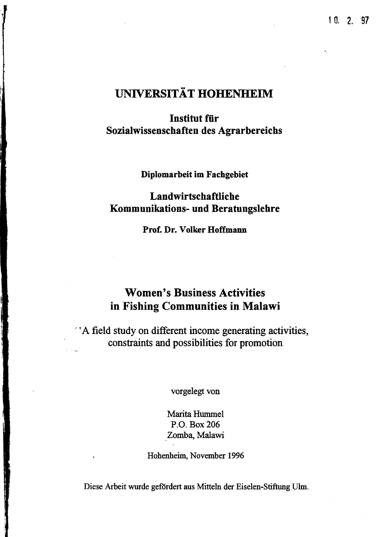# UNIVERSITÄT HOHENHEIM

#### **Institut für** Sozialwissenschaften des Agrarbereichs

Diplomarbeit im Fachgebiet

#### Landwirtschaftliche Kommunikations- und Beratungslehre

Prof. Dr. Volker Hoffmann

### Women's Business Activities in Fishing Communities in Malawi

'tA field study on different income generating activities, constraints and possibilities for promotion

vorgelegt von

Marita Hummel P.O. Box 206 Zomba, Malawi

Hohenheim, November 1996

Diese Arbeit wurde gefördert aus Mitteln der Eiselen-Stiftung Ulm.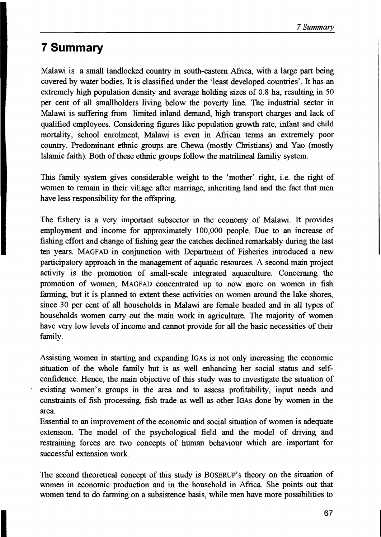## **7 Summary**

Malawi is a small landlocked country in south-eastern Africa, with a large part being covered by water bodies. It is classified under the 'least developed countries'. It has an extremely high population density and average holding sizes of 0.8 ha, resulting in 50 per cent of all smallholders living below the poverty line. The industrial sector in Malawi is suffering from limited inland demand, high transport charges and lack of qualified employees. Considering figures like population growth rate, infant and child mortality, school enrolment, Malawi is even in African terms an extremely poor country. Predominant ethnic groups are Chewa (mostly Christians) and Yao (mostly Islamic faith). Both of these ethnic groups follow the matrilineal familiy system.

This family system gives considerable weight to the 'mother' right, i.e. the right of women to remain in their village after marriage, inheriting land and the fact that men have less responsibility for the offspring.

The fishery is a very important subsector in the economy of Malawi. It provides employment and income for approximately 100,000 people. Due to an increase of fishing effort and change of fishing gear the catches declined remarkably during the last ten years. MAGFAD in conjunction with Department of Fisheries introduced a new participatory approach in the management of aquatic resources. A second main project activity is the promotion of small-scale integrated aquaculture. Conceming the promotion of women, MAGFAD concentrated up to now more on women in fish farming, but it is planned to extent these activities on women around the lake shores, since 30 per cent of all households in Malawi are female headed and in all types of households women carry out the main work in agriculture. The majority of women have very low levels of income and cannot provide for all the basic necessities of their family.

Assisting women in starting and expanding IGAs is not only increasing the economic situation of the whole family but is as well enhancing her social status and selfconfidence. Hence, the main objective of this study was to investigate the situation of existing women's groups in the area and to assess profitability, input needs and constraints of fish processing, fish trade as weIl as other IGAs done by women in the area

Essential to an improvement of the economic and social situation of women is adequate extension. The model of the psychological field and the model of driving and restraining forces are two concepts of human behaviour which are important for successful extension work

The second theoretical concept of this study is BOSERUP's theory on the situation of women in economic production and in the household in Africa. She points out that women tend to do farming on a subsistence basis, while men have more possibilities to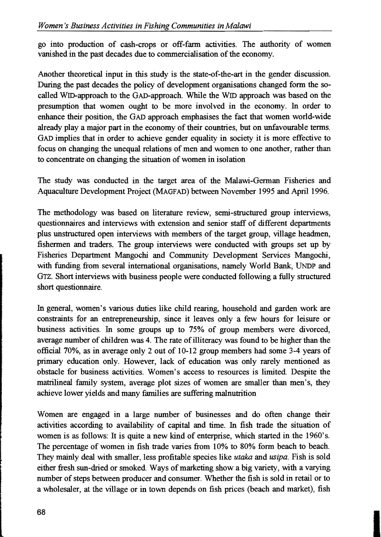go into production of cash-crops or off-farm activities. The authority of women vanished in the past decades due to commercialisation of the economy.

Another theoretical input in this study is the state-of-the-art in the gender discussion. During the past decades the policy of development organisations changed form the socalled WID-approach to the GAD-approach. While the WID approach was based on the presumption that women ought to be more involved in the economy. In order to enhance their position, the GAD approach emphasises the fact that women world-wide already play a major part in the economy of their countries, but on unfavourable terms. GAD implies that in order to achieve gender equality in society it is more effective to focus on changing the unequal relations of men and women to one another, rather than to concentrate on changing the situation of women in isolation

The study was conducted in the target area of the Malawi-German Fisheries and Aquaculture Development Project (MAGFAD) between November 1995 and April 1996.

The methodology was based on literature review, semi-structured group interviews, questionnaires and interviews with extension and senior staff of different departments plus unstructured open interviews with members of the target group, village headmen, fishermen and traders. The group interviews were conducted with groups set up by Fisheries Department Mangochi and Community Development Services Mangochi, with funding from several international organisations, namely World Bank, UNDP and Grz. Short interviews with business people were conducted following a fully structured short questionnaire.

In general, women's various duties like child rearing, household and garden work are constraints for an entrepreneurship, since it leaves only a few hours for leisure or business activities. In some groups up to 75% of group members were divorced, average number of children was 4. The rate of illiteracy was found to be higher than the official 70%, as in average only 2 out of 10-12 group members had some 3-4 years of primary education only. However, lack of education was only rarely mentioned as obstacle for business activities. Women's access to resources is limited. Despite the matrilineal family system, average plot sizes of women are smaller than men's, they achieve lower yields and many families are suffering malnutrition

Women are engaged in a large number of businesses and do often change their activities according to availability of capital and time. In fish trade the situation of women is as follows: It is quite a new kind of enterprise, which started in the 1960's. The percentage of women in fish trade varies from 10% to 80% form beach to beach. They mainly deal with smaller, less profitable species like *utaka* and *usipa.* Fish is sold either fresh sun-dried or smoked. Ways of marketing show a big variety, with a varying number of steps between producer and consumer. Whether the fish is sold in retail or to a wholesaler, at the village or in town depends on fish prices (beach and market), fish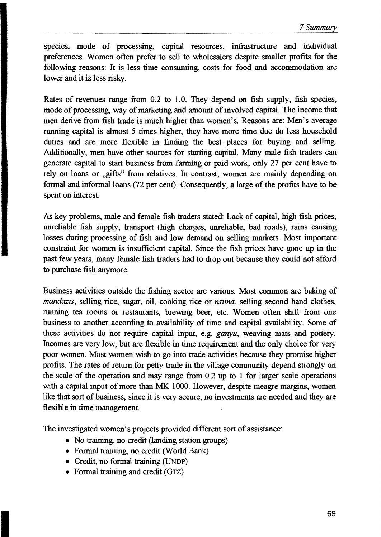species, mode of processing, capital resources, infrastructure and individual preferences. Women often prefer to seIl to wholesalers despite smaller profits for the following reasons: It is less time consuming, costs for food and accommodation are lower and it is less risky.

Rates of revenues range from 0.2 to 1.0. They depend on fish supply, fish species, mode of processing, way of marketing and amount of involved capital. The income that men derive from fish trade is much higher than women's. Reasons are: Men's average running capital is almost 5 times higher, they have more time due do less household duties and are more flexible in finding the best places for buying and selling. Additionally, men have other sources for starting capital. Many male fish traders can generate capital to start business from farming or paid work, only 27 per cent have to rely on loans or "gifts" from relatives. In contrast, women are mainly depending on formal and informal loans (72 per cent). Consequently, a large of the profits have to be spent on interest.

As key problems, male and female fish traders stated: Lack of capital, high fish prices, unreliable fish supply, transport (high charges, unreliable, bad roads), rains causing losses during processing of fish and low demand on selling markets. Most important constraint for women is insufficient capital. Since the fish prices have gone up in the past few years, many female fish traders had to drop out because they could not afford to purchase fish anymore.

Business activities outside the fishing sector are various. Most common are baking of *mandazis,* selling rice, sugar, oil, cooking rice or *nsima,* selling second hand clothes, running tea rooms or restaurants, brewing beer, etc. Women often shift from one business to another according to availability of time and capital availability. Some of these activities do not require capital input, e.g. *ganyu,* weaving mats and pottery. Incomes are very low, but are flexible in time requirement and the only choice for very poor women. Most women wish to go into trade activities because they promise higher profits. The rates of return for petty trade in the village community depend strongly on the scale of the operation and may range from 0.2 up to 1 for larger scale operations with a capital input of more than MK 1000. However, despite meagre margins, women like that sort of business, since it is very secure, no investments are needed and they are flexible in time management.

The investigated women's projects provided different sort of assistance:

- No training, no credit (landing station groups)
- Formal training, no credit (World Bank)
- Credit, no formal training (UNDP)
- Formal training and credit (GTZ)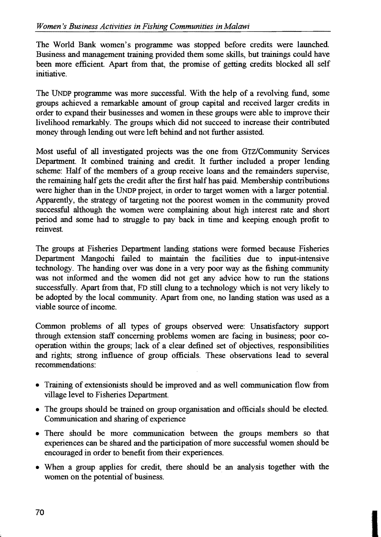The World Bank women's programme was stopped before credits were launched. Business and management training provided them some skills, but trainings could have been more efficient. Apart from that, the promise of getting credits blocked all self initiative.

The UNDP programme was more successful. With the help of a revolving fund, some groups achieved a remarkable amount of group capital and received larger credits in order to expand their businesses and women in these groups were able to improve their livelihood remarkably. The groups which did not succeed to increase their contributed money through lending out were left behind and not further assisted.

Most useful of all investigated projects was the one from GTZ/Community Services Department. It combined training and credit. It further induded a proper lending scheme: Half of the members of a group receive loans and the remainders supervise, the remaining half gets the credit after the first half has paid. Membership contributions were higher than in the UNDP project, in order to target women with a larger potential. Apparently, the strategy of targeting not the poorest women in the community proved successful although the women were complaining about high interest rate and short period and some had to struggle to pay back in time and keeping enough profit to reinvest.

The groups at Fisheries Department landing stations were formed because Fisheries Department Mangochi failed to maintain the facilities due to input-intensive technology. The handing over was done in a very poor way as the fishing community was not informed and the women did not get any advice how to run the stations successfully. Apart from that, FD still dung to a technology which is not very likely to be adopted by the local community. Apart from one, no landing station was used as a viable source of income.

Common problems of all types of groups observed were: Unsatisfactory support through extension staff concerning problems women are facing in business; poor cooperation within the groups; lack of a dear defined set of objectives, responsibilities and rights; strong influence of group officials. These observations lead to several recommendations:

- Training of extensionists should be improved and as well communication flow from village level to Fisheries Department.
- The groups should be trained on group organisation and officials should be elected. Communication and sharing of experience
- There should be more communication between the groups members so that experiences can be shared and the participation of more successful women should be encouraged in order to benefit from their experiences.
- When a group applies for credit, there should be an analysis together with the women on the potential of business.